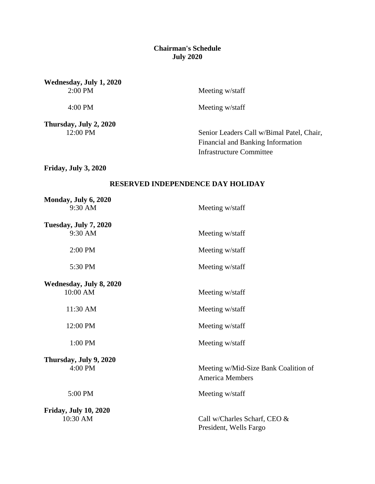## **Chairman's Schedule July 2020**

**Wednesday, July 1, 2020**

Meeting w/staff

4:00 PM Meeting w/staff

**Thursday, July 2, 2020**<br>12:00 PM

Senior Leaders Call w/Bimal Patel, Chair, Financial and Banking Information Infrastructure Committee

**Friday, July 3, 2020**

## **RESERVED INDEPENDENCE DAY HOLIDAY**

| Monday, July 6, 2020         |                                                                |
|------------------------------|----------------------------------------------------------------|
| 9:30 AM                      | Meeting w/staff                                                |
| <b>Tuesday, July 7, 2020</b> |                                                                |
| 9:30 AM                      | Meeting w/staff                                                |
| 2:00 PM                      | Meeting w/staff                                                |
| 5:30 PM                      | Meeting w/staff                                                |
| Wednesday, July 8, 2020      |                                                                |
| 10:00 AM                     | Meeting w/staff                                                |
| 11:30 AM                     | Meeting w/staff                                                |
| 12:00 PM                     | Meeting w/staff                                                |
| 1:00 PM                      | Meeting w/staff                                                |
| Thursday, July 9, 2020       |                                                                |
| 4:00 PM                      | Meeting w/Mid-Size Bank Coalition of<br><b>America Members</b> |
| 5:00 PM                      | Meeting w/staff                                                |
| <b>Friday, July 10, 2020</b> |                                                                |
| 10:30 AM                     | Call w/Charles Scharf, CEO &<br>President, Wells Fargo         |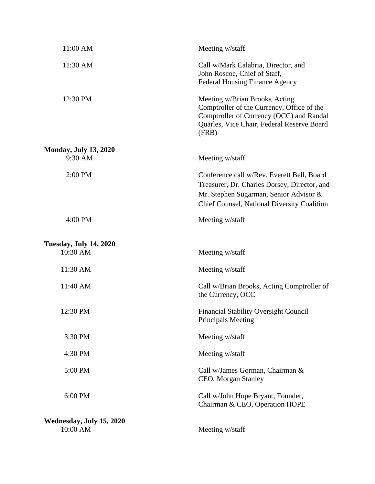| 11:00 AM                                    | Meeting w/staff                                                                                                                                                                     |
|---------------------------------------------|-------------------------------------------------------------------------------------------------------------------------------------------------------------------------------------|
| 11:30 AM                                    | Call w/Mark Calabria, Director, and<br>John Roscoe, Chief of Staff,<br><b>Federal Housing Finance Agency</b>                                                                        |
| 12:30 PM                                    | Meeting w/Brian Brooks, Acting<br>Comptroller of the Currency, Office of the<br>Comptroller of Currency (OCC) and Randal<br>Quarles, Vice Chair, Federal Reserve Board<br>(FRB)     |
| <b>Monday, July 13, 2020</b>                |                                                                                                                                                                                     |
| 9:30 AM                                     | Meeting w/staff                                                                                                                                                                     |
| 2:00 PM                                     | Conference call w/Rev. Everett Bell, Board<br>Treasurer, Dr. Charles Dorsey, Director, and<br>Mr. Stephen Sugarman, Senior Advisor &<br>Chief Counsel, National Diversity Coalition |
| 4:00 PM                                     | Meeting w/staff                                                                                                                                                                     |
| <b>Tuesday, July 14, 2020</b>               |                                                                                                                                                                                     |
| 10:30 AM                                    | Meeting w/staff                                                                                                                                                                     |
| 11:30 AM                                    | Meeting w/staff                                                                                                                                                                     |
| 11:40 AM                                    | Call w/Brian Brooks, Acting Comptroller of<br>the Currency, OCC                                                                                                                     |
| 12:30 PM                                    | <b>Financial Stability Oversight Council</b><br><b>Principals Meeting</b>                                                                                                           |
| 3:30 PM                                     | Meeting w/staff                                                                                                                                                                     |
| 4:30 PM                                     | Meeting w/staff                                                                                                                                                                     |
| 5:00 PM                                     | Call w/James Gorman, Chairman &<br>CEO, Morgan Stanley                                                                                                                              |
| 6:00 PM                                     | Call w/John Hope Bryant, Founder,<br>Chairman & CEO, Operation HOPE                                                                                                                 |
| <b>Wednesday, July 15, 2020</b><br>10:00 AM | Meeting w/staff                                                                                                                                                                     |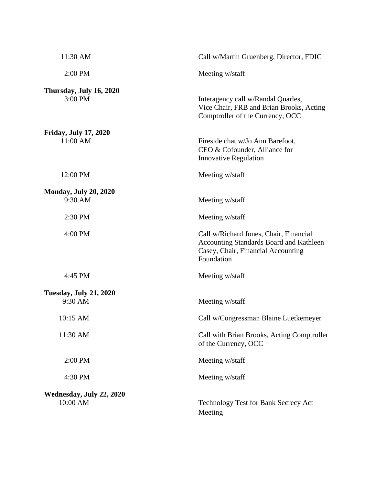| 11:30 AM                                 | Call w/Martin Gruenberg, Director, FDIC                                                                                                      |
|------------------------------------------|----------------------------------------------------------------------------------------------------------------------------------------------|
| 2:00 PM                                  | Meeting w/staff                                                                                                                              |
| Thursday, July 16, 2020<br>3:00 PM       | Interagency call w/Randal Quarles,<br>Vice Chair, FRB and Brian Brooks, Acting<br>Comptroller of the Currency, OCC                           |
| <b>Friday, July 17, 2020</b><br>11:00 AM | Fireside chat w/Jo Ann Barefoot,<br>CEO & Cofounder, Alliance for<br><b>Innovative Regulation</b>                                            |
| 12:00 PM                                 | Meeting w/staff                                                                                                                              |
| <b>Monday, July 20, 2020</b><br>9:30 AM  | Meeting w/staff                                                                                                                              |
| 2:30 PM                                  | Meeting w/staff                                                                                                                              |
| 4:00 PM                                  | Call w/Richard Jones, Chair, Financial<br><b>Accounting Standards Board and Kathleen</b><br>Casey, Chair, Financial Accounting<br>Foundation |
| 4:45 PM                                  | Meeting w/staff                                                                                                                              |
| <b>Tuesday, July 21, 2020</b><br>9:30 AM | Meeting w/staff                                                                                                                              |
| 10:15 AM                                 | Call w/Congressman Blaine Luetkemeyer                                                                                                        |
| 11:30 AM                                 | Call with Brian Brooks, Acting Comptroller<br>of the Currency, OCC                                                                           |
| 2:00 PM                                  | Meeting w/staff                                                                                                                              |
| 4:30 PM                                  | Meeting w/staff                                                                                                                              |
| Wednesday, July 22, 2020<br>10:00 AM     | Technology Test for Bank Secrecy Act<br>Meeting                                                                                              |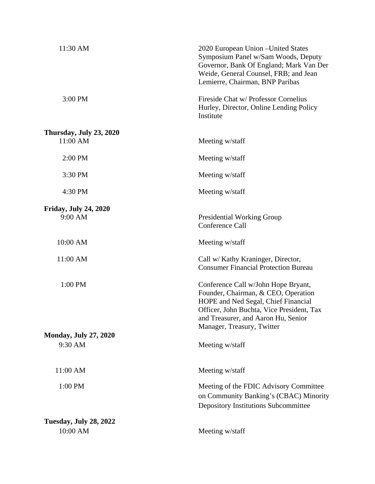| 11:30 AM                                | 2020 European Union - United States<br>Symposium Panel w/Sam Woods, Deputy<br>Governor, Bank Of England; Mark Van Der<br>Weide, General Counsel, FRB; and Jean<br>Lemierre, Chairman, BNP Paribas                                   |
|-----------------------------------------|-------------------------------------------------------------------------------------------------------------------------------------------------------------------------------------------------------------------------------------|
| 3:00 PM                                 | Fireside Chat w/ Professor Cornelius<br>Hurley, Director, Online Lending Policy<br>Institute                                                                                                                                        |
| Thursday, July 23, 2020<br>11:00 AM     | Meeting w/staff                                                                                                                                                                                                                     |
| 2:00 PM                                 | Meeting w/staff                                                                                                                                                                                                                     |
| 3:30 PM                                 | Meeting w/staff                                                                                                                                                                                                                     |
| 4:30 PM                                 | Meeting w/staff                                                                                                                                                                                                                     |
| <b>Friday, July 24, 2020</b><br>9:00 AM | <b>Presidential Working Group</b><br>Conference Call                                                                                                                                                                                |
| 10:00 AM                                | Meeting w/staff                                                                                                                                                                                                                     |
| 11:00 AM                                | Call w/ Kathy Kraninger, Director,<br><b>Consumer Financial Protection Bureau</b>                                                                                                                                                   |
| 1:00 PM                                 | Conference Call w/John Hope Bryant,<br>Founder, Chairman, & CEO, Operation<br>HOPE and Ned Segal, Chief Financial<br>Officer, John Buchta, Vice President, Tax<br>and Treasurer, and Aaron Hu, Senior<br>Manager, Treasury, Twitter |
| <b>Monday, July 27, 2020</b>            |                                                                                                                                                                                                                                     |
| 9:30 AM                                 | Meeting w/staff                                                                                                                                                                                                                     |
| 11:00 AM                                | Meeting w/staff                                                                                                                                                                                                                     |
| 1:00 PM                                 | Meeting of the FDIC Advisory Committee<br>on Community Banking's (CBAC) Minority<br><b>Depository Institutions Subcommittee</b>                                                                                                     |
| <b>Tuesday, July 28, 2022</b>           |                                                                                                                                                                                                                                     |
| 10:00 AM                                | Meeting w/staff                                                                                                                                                                                                                     |